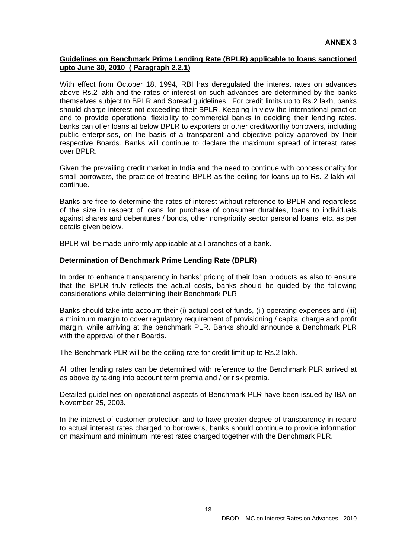## **Guidelines on Benchmark Prime Lending Rate (BPLR) applicable to loans sanctioned upto June 30, 2010 ( Paragraph 2.2.1)**

With effect from October 18, 1994, RBI has deregulated the interest rates on advances above Rs.2 lakh and the rates of interest on such advances are determined by the banks themselves subject to BPLR and Spread guidelines. For credit limits up to Rs.2 lakh, banks should charge interest not exceeding their BPLR. Keeping in view the international practice and to provide operational flexibility to commercial banks in deciding their lending rates, banks can offer loans at below BPLR to exporters or other creditworthy borrowers, including public enterprises, on the basis of a transparent and objective policy approved by their respective Boards. Banks will continue to declare the maximum spread of interest rates over BPLR.

Given the prevailing credit market in India and the need to continue with concessionality for small borrowers, the practice of treating BPLR as the ceiling for loans up to Rs. 2 lakh will continue.

Banks are free to determine the rates of interest without reference to BPLR and regardless of the size in respect of loans for purchase of consumer durables, loans to individuals against shares and debentures / bonds, other non-priority sector personal loans, etc. as per details given below.

BPLR will be made uniformly applicable at all branches of a bank.

## **Determination of Benchmark Prime Lending Rate (BPLR)**

In order to enhance transparency in banks' pricing of their loan products as also to ensure that the BPLR truly reflects the actual costs, banks should be guided by the following considerations while determining their Benchmark PLR:

Banks should take into account their (i) actual cost of funds, (ii) operating expenses and (iii) a minimum margin to cover regulatory requirement of provisioning / capital charge and profit margin, while arriving at the benchmark PLR. Banks should announce a Benchmark PLR with the approval of their Boards.

The Benchmark PLR will be the ceiling rate for credit limit up to Rs.2 lakh.

All other lending rates can be determined with reference to the Benchmark PLR arrived at as above by taking into account term premia and / or risk premia.

Detailed guidelines on operational aspects of Benchmark PLR have been issued by IBA on November 25, 2003.

In the interest of customer protection and to have greater degree of transparency in regard to actual interest rates charged to borrowers, banks should continue to provide information on maximum and minimum interest rates charged together with the Benchmark PLR.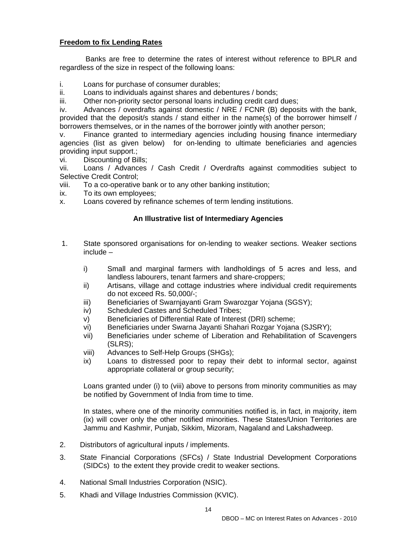## **Freedom to fix Lending Rates**

 Banks are free to determine the rates of interest without reference to BPLR and regardless of the size in respect of the following loans:

i. Loans for purchase of consumer durables;

ii. Loans to individuals against shares and debentures / bonds;

iii. Other non-priority sector personal loans including credit card dues;

iv. Advances / overdrafts against domestic / NRE / FCNR (B) deposits with the bank, provided that the deposit/s stands / stand either in the name(s) of the borrower himself / borrowers themselves, or in the names of the borrower jointly with another person;

v. Finance granted to intermediary agencies including housing finance intermediary agencies (list as given below) for on-lending to ultimate beneficiaries and agencies providing input support.;

vi. Discounting of Bills;

vii. Loans / Advances / Cash Credit / Overdrafts against commodities subject to Selective Credit Control;

viii. To a co-operative bank or to any other banking institution;

ix. To its own employees;

x. Loans covered by refinance schemes of term lending institutions.

## **An Illustrative list of Intermediary Agencies**

- 1. State sponsored organisations for on-lending to weaker sections. Weaker sections include –
	- i) Small and marginal farmers with landholdings of 5 acres and less, and landless labourers, tenant farmers and share-croppers;
	- ii) Artisans, village and cottage industries where individual credit requirements do not exceed Rs. 50,000/-;
	- iii) Beneficiaries of Swarniavanti Gram Swarozgar Yojana (SGSY);
	- iv) Scheduled Castes and Scheduled Tribes;
	- v) Beneficiaries of Differential Rate of Interest (DRI) scheme;
	- vi) Beneficiaries under Swarna Jayanti Shahari Rozgar Yojana (SJSRY);
	- vii) Beneficiaries under scheme of Liberation and Rehabilitation of Scavengers (SLRS);
	- viii) Advances to Self-Help Groups (SHGs);
	- ix) Loans to distressed poor to repay their debt to informal sector, against appropriate collateral or group security;

Loans granted under (i) to (viii) above to persons from minority communities as may be notified by Government of India from time to time.

In states, where one of the minority communities notified is, in fact, in majority, item (ix) will cover only the other notified minorities. These States/Union Territories are Jammu and Kashmir, Punjab, Sikkim, Mizoram, Nagaland and Lakshadweep.

- 2. Distributors of agricultural inputs / implements.
- 3. State Financial Corporations (SFCs) / State Industrial Development Corporations (SIDCs) to the extent they provide credit to weaker sections.
- 4. National Small Industries Corporation (NSIC).
- 5. Khadi and Village Industries Commission (KVIC).